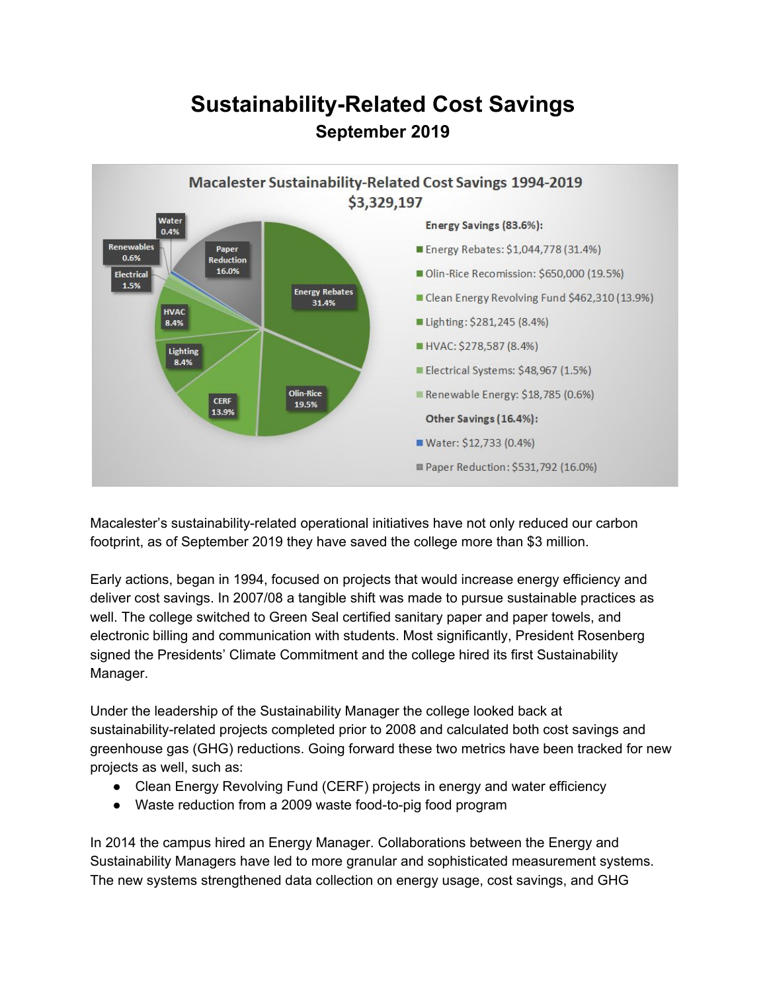## **Sustainability-Related Cost Savings September 2019**



Macalester's sustainability-related operational initiatives have not only reduced our carbon footprint, as of September 2019 they have saved the college more than \$3 million.

Early actions, began in 1994, focused on projects that would increase energy efficiency and deliver cost savings. In 2007/08 a tangible shift was made to pursue sustainable practices as well. The college switched to Green Seal certified sanitary paper and paper towels, and electronic billing and communication with students. Most significantly, President Rosenberg signed the Presidents' Climate Commitment and the college hired its first Sustainability Manager.

Under the leadership of the Sustainability Manager the college looked back at sustainability-related projects completed prior to 2008 and calculated both cost savings and greenhouse gas (GHG) reductions. Going forward these two metrics have been tracked for new projects as well, such as:

- Clean Energy Revolving Fund (CERF) projects in energy and water efficiency
- Waste reduction from a 2009 waste food-to-pig food program

In 2014 the campus hired an Energy Manager. Collaborations between the Energy and Sustainability Managers have led to more granular and sophisticated measurement systems. The new systems strengthened data collection on energy usage, cost savings, and GHG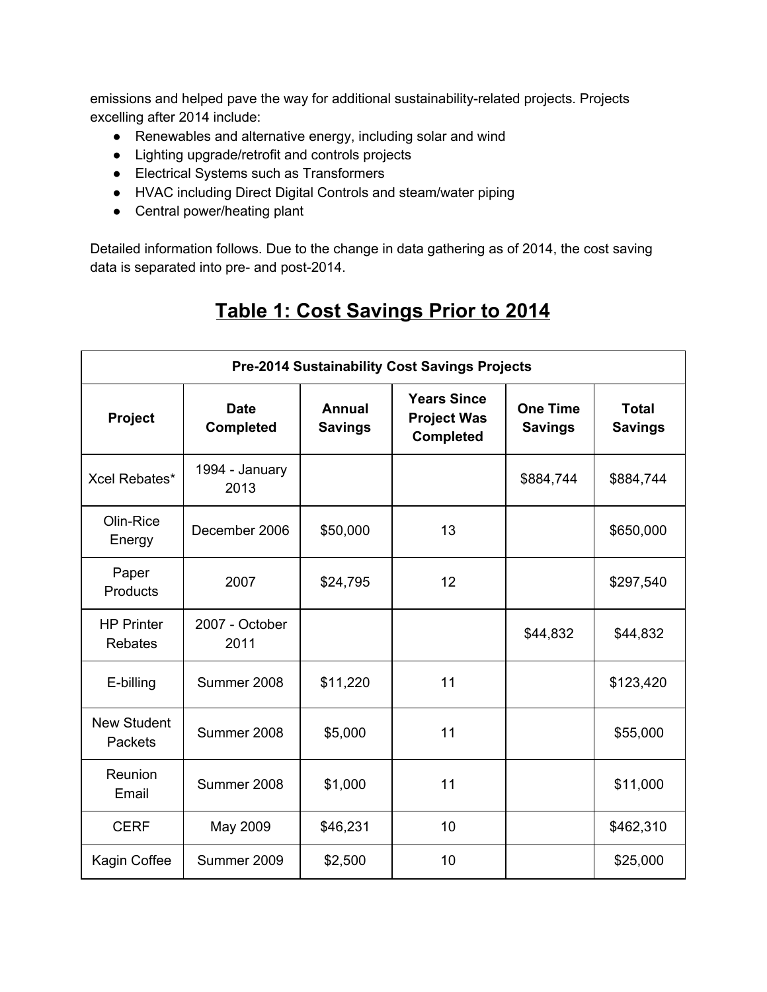emissions and helped pave the way for additional sustainability-related projects. Projects excelling after 2014 include:

- Renewables and alternative energy, including solar and wind
- Lighting upgrade/retrofit and controls projects
- Electrical Systems such as Transformers
- HVAC including Direct Digital Controls and steam/water piping
- Central power/heating plant

Detailed information follows. Due to the change in data gathering as of 2014, the cost saving data is separated into pre- and post-2014.

| <b>Pre-2014 Sustainability Cost Savings Projects</b> |                                 |                                 |                                                              |                                   |                                |
|------------------------------------------------------|---------------------------------|---------------------------------|--------------------------------------------------------------|-----------------------------------|--------------------------------|
| Project                                              | <b>Date</b><br><b>Completed</b> | <b>Annual</b><br><b>Savings</b> | <b>Years Since</b><br><b>Project Was</b><br><b>Completed</b> | <b>One Time</b><br><b>Savings</b> | <b>Total</b><br><b>Savings</b> |
| Xcel Rebates*                                        | 1994 - January<br>2013          |                                 |                                                              | \$884,744                         | \$884,744                      |
| Olin-Rice<br>Energy                                  | December 2006                   | \$50,000                        | 13                                                           |                                   | \$650,000                      |
| Paper<br>Products                                    | 2007                            | \$24,795                        | 12                                                           |                                   | \$297,540                      |
| <b>HP Printer</b><br><b>Rebates</b>                  | 2007 - October<br>2011          |                                 |                                                              | \$44,832                          | \$44,832                       |
| E-billing                                            | Summer 2008                     | \$11,220                        | 11                                                           |                                   | \$123,420                      |
| <b>New Student</b><br><b>Packets</b>                 | Summer 2008                     | \$5,000                         | 11                                                           |                                   | \$55,000                       |
| Reunion<br>Email                                     | Summer 2008                     | \$1,000                         | 11                                                           |                                   | \$11,000                       |
| <b>CERF</b>                                          | May 2009                        | \$46,231                        | 10                                                           |                                   | \$462,310                      |
| Kagin Coffee                                         | Summer 2009                     | \$2,500                         | 10                                                           |                                   | \$25,000                       |

## **Table 1: Cost Savings Prior to 2014**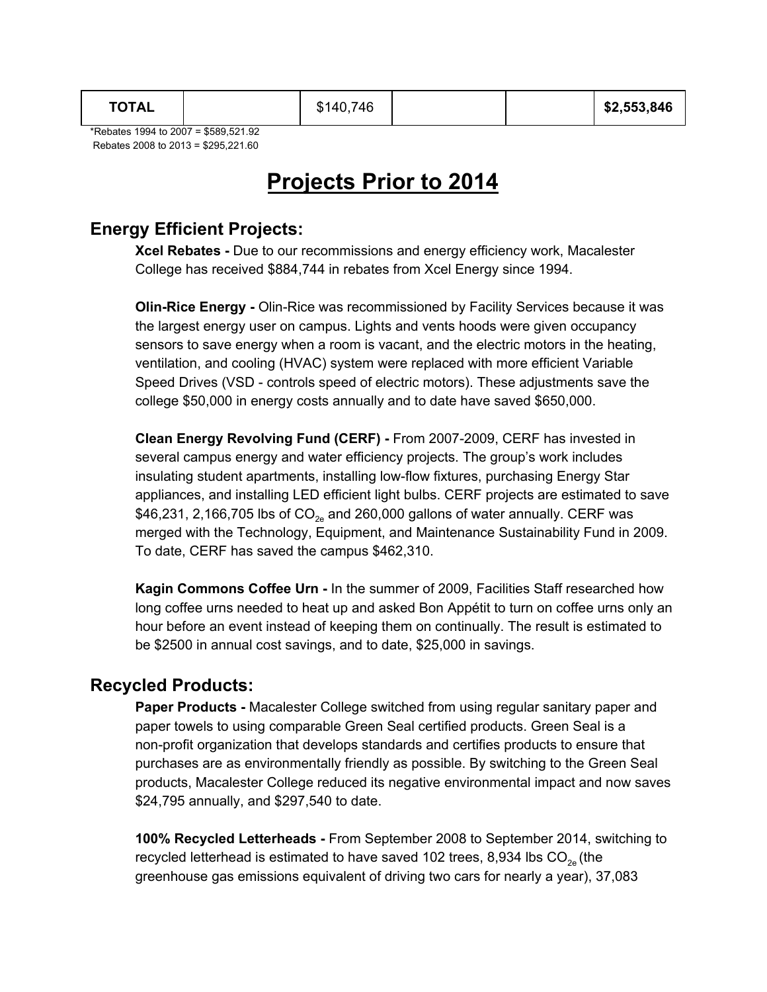\*Rebates 1994 to 2007 = \$589,521.92 Rebates 2008 to 2013 = \$295,221.60

## **Projects Prior to 2014**

### **Energy Efficient Projects:**

**Xcel Rebates -** Due to our recommissions and energy efficiency work, Macalester College has received \$884,744 in rebates from Xcel Energy since 1994.

**Olin-Rice Energy -** Olin-Rice was recommissioned by Facility Services because it was the largest energy user on campus. Lights and vents hoods were given occupancy sensors to save energy when a room is vacant, and the electric motors in the heating, ventilation, and cooling (HVAC) system were replaced with more efficient Variable Speed Drives (VSD - controls speed of electric motors). These adjustments save the college \$50,000 in energy costs annually and to date have saved \$650,000.

**Clean Energy Revolving Fund (CERF) -** From 2007-2009, CERF has invested in several campus energy and water efficiency projects. The group's work includes insulating student apartments, installing low-flow fixtures, purchasing Energy Star appliances, and installing LED efficient light bulbs. CERF projects are estimated to save \$46,231, 2,166,705 lbs of  $CO<sub>2e</sub>$  and 260,000 gallons of water annually. CERF was merged with the Technology, Equipment, and Maintenance Sustainability Fund in 2009. To date, CERF has saved the campus \$462,310.

**Kagin Commons Coffee Urn -** In the summer of 2009, Facilities Staff researched how long coffee urns needed to heat up and asked Bon Appétit to turn on coffee urns only an hour before an event instead of keeping them on continually. The result is estimated to be \$2500 in annual cost savings, and to date, \$25,000 in savings.

#### **Recycled Products:**

**Paper Products -** Macalester College switched from using regular sanitary paper and paper towels to using comparable Green Seal certified products. Green Seal is a non-profit organization that develops standards and certifies products to ensure that purchases are as environmentally friendly as possible. By switching to the Green Seal products, Macalester College reduced its negative environmental impact and now saves \$24,795 annually, and \$297,540 to date.

**100% Recycled Letterheads -** From September 2008 to September 2014, switching to recycled letterhead is estimated to have saved 102 trees, 8,934 lbs CO $_{\rm 2e}$  (the greenhouse gas emissions equivalent of driving two cars for nearly a year), 37,083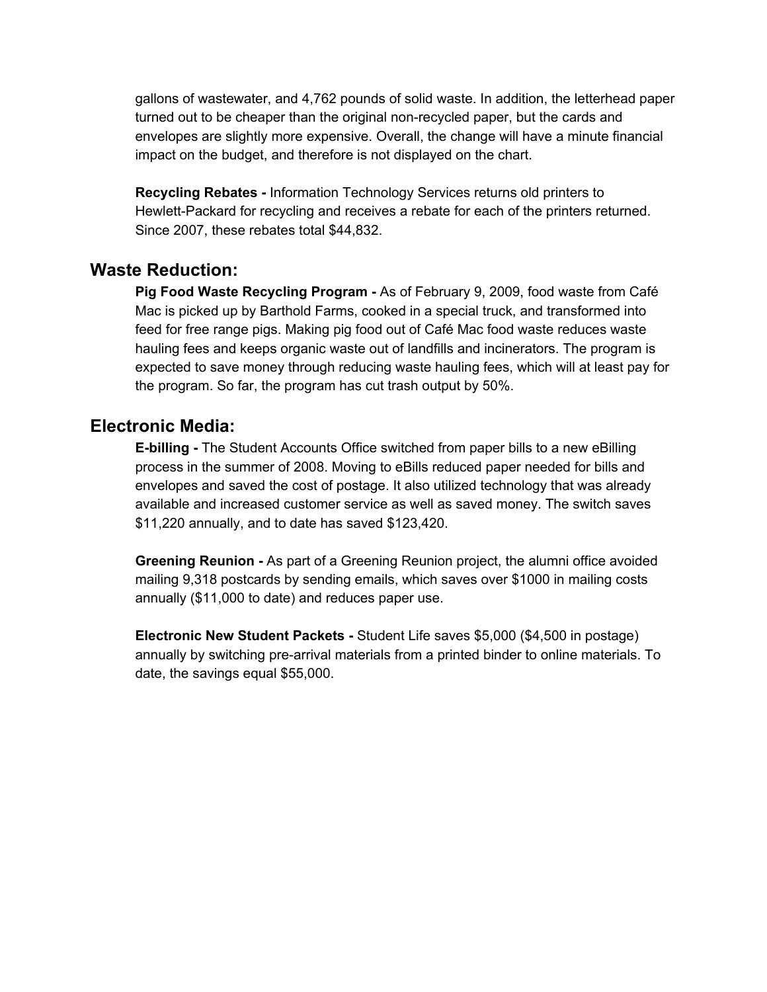gallons of wastewater, and 4,762 pounds of solid waste. In addition, the letterhead paper turned out to be cheaper than the original non-recycled paper, but the cards and envelopes are slightly more expensive. Overall, the change will have a minute financial impact on the budget, and therefore is not displayed on the chart.

**Recycling Rebates -** Information Technology Services returns old printers to Hewlett-Packard for recycling and receives a rebate for each of the printers returned. Since 2007, these rebates total \$44,832.

#### **Waste Reduction:**

**Pig Food Waste Recycling Program -** As of February 9, 2009, food waste from Café Mac is picked up by Barthold Farms, cooked in a special truck, and transformed into feed for free range pigs. Making pig food out of Café Mac food waste reduces waste hauling fees and keeps organic waste out of landfills and incinerators. The program is expected to save money through reducing waste hauling fees, which will at least pay for the program. So far, the program has cut trash output by 50%.

#### **Electronic Media:**

**E-billing -** The Student Accounts Office switched from paper bills to a new eBilling process in the summer of 2008. Moving to eBills reduced paper needed for bills and envelopes and saved the cost of postage. It also utilized technology that was already available and increased customer service as well as saved money. The switch saves \$11,220 annually, and to date has saved \$123,420.

**Greening Reunion -** As part of a Greening Reunion project, the alumni office avoided mailing 9,318 postcards by sending emails, which saves over \$1000 in mailing costs annually (\$11,000 to date) and reduces paper use.

**Electronic New Student Packets -** Student Life saves \$5,000 (\$4,500 in postage) annually by switching pre-arrival materials from a printed binder to online materials. To date, the savings equal \$55,000.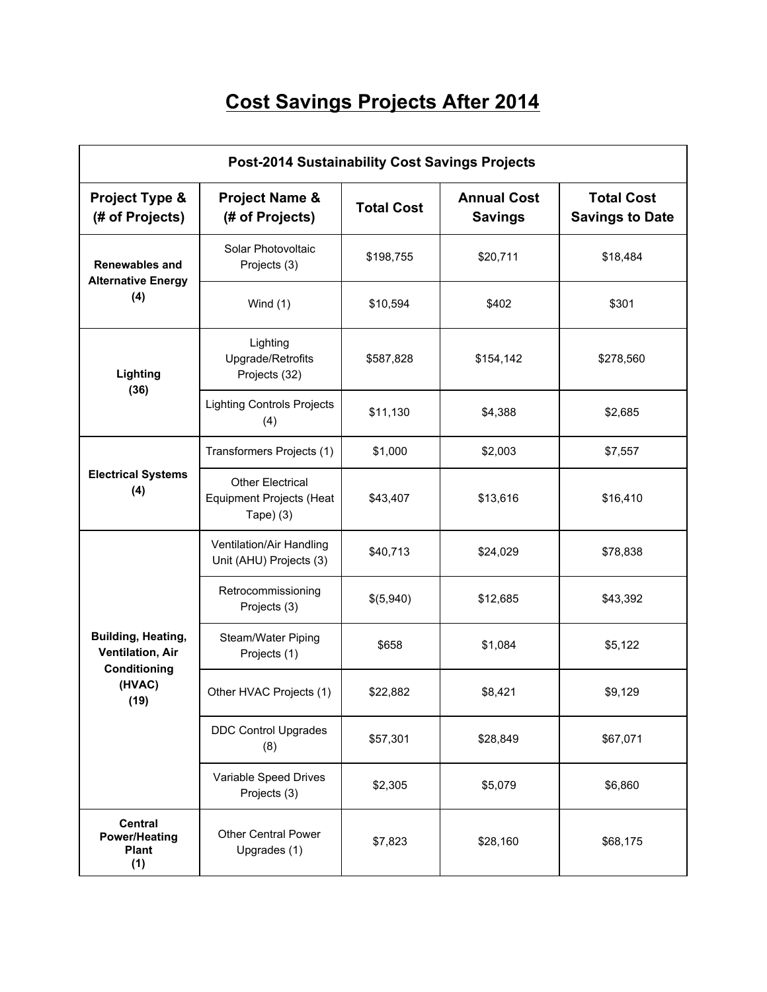# **Cost Savings Projects After 2014**

| <b>Post-2014 Sustainability Cost Savings Projects</b>         |                                                                          |                   |                                      |                                             |  |
|---------------------------------------------------------------|--------------------------------------------------------------------------|-------------------|--------------------------------------|---------------------------------------------|--|
| Project Type &<br>(# of Projects)                             | <b>Project Name &amp;</b><br>(# of Projects)                             | <b>Total Cost</b> | <b>Annual Cost</b><br><b>Savings</b> | <b>Total Cost</b><br><b>Savings to Date</b> |  |
| <b>Renewables and</b><br><b>Alternative Energy</b>            | Solar Photovoltaic<br>Projects (3)                                       | \$198,755         | \$20,711                             | \$18,484                                    |  |
| (4)                                                           | Wind $(1)$                                                               | \$10,594          | \$402                                | \$301                                       |  |
| Lighting                                                      | Lighting<br>Upgrade/Retrofits<br>Projects (32)                           | \$587,828         | \$154,142                            | \$278,560                                   |  |
| (36)                                                          | <b>Lighting Controls Projects</b><br>(4)                                 | \$11,130          | \$4,388                              | \$2,685                                     |  |
|                                                               | Transformers Projects (1)                                                | \$1,000           | \$2,003                              | \$7,557                                     |  |
| <b>Electrical Systems</b><br>(4)                              | <b>Other Electrical</b><br><b>Equipment Projects (Heat</b><br>Tape $(3)$ | \$43,407          | \$13,616                             | \$16,410                                    |  |
|                                                               | Ventilation/Air Handling<br>Unit (AHU) Projects (3)                      | \$40,713          | \$24,029                             | \$78,838                                    |  |
|                                                               | Retrocommissioning<br>Projects (3)                                       | \$(5,940)         | \$12,685                             | \$43,392                                    |  |
| Building, Heating,<br><b>Ventilation, Air</b><br>Conditioning | Steam/Water Piping<br>Projects (1)                                       | \$658             | \$1,084                              | \$5,122                                     |  |
| (HVAC)<br>(19)                                                | Other HVAC Projects (1)                                                  | \$22,882          | \$8,421                              | \$9,129                                     |  |
|                                                               | <b>DDC Control Upgrades</b><br>(8)                                       | \$57,301          | \$28,849                             | \$67,071                                    |  |
|                                                               | Variable Speed Drives<br>Projects (3)                                    | \$2,305           | \$5,079                              | \$6,860                                     |  |
| <b>Central</b><br><b>Power/Heating</b><br><b>Plant</b><br>(1) | <b>Other Central Power</b><br>Upgrades (1)                               | \$7,823           | \$28,160                             | \$68,175                                    |  |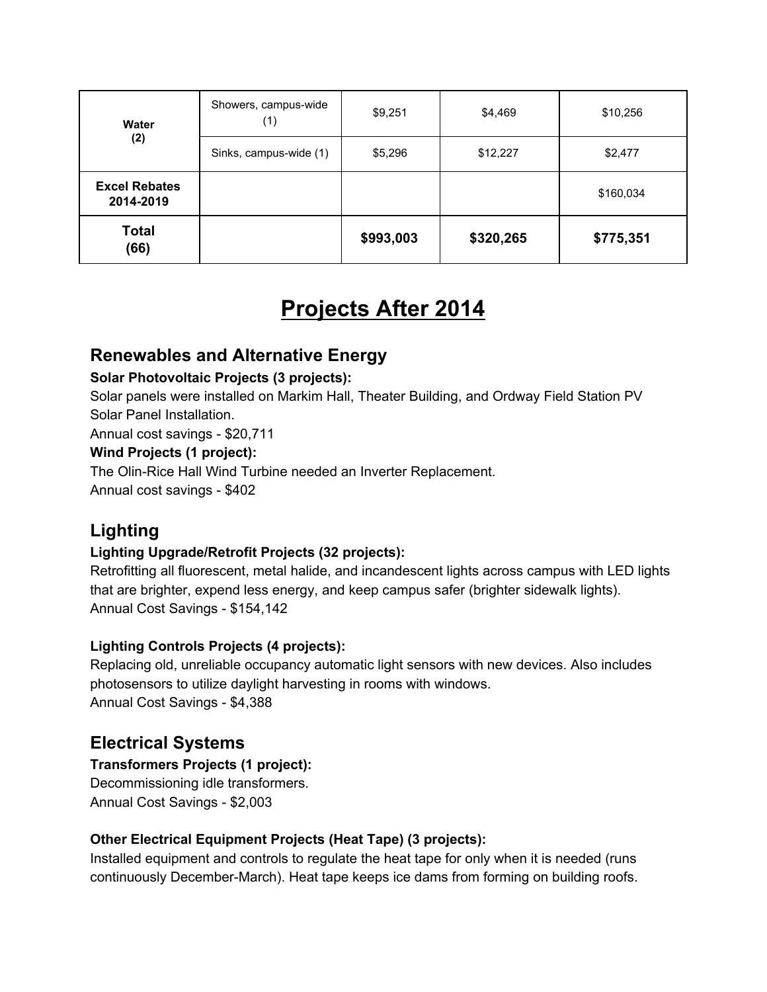| Water                             | Showers, campus-wide<br>(1) | \$9,251   | \$4,469   | \$10,256  |
|-----------------------------------|-----------------------------|-----------|-----------|-----------|
| (2)                               | Sinks, campus-wide (1)      | \$5,296   | \$12,227  | \$2,477   |
| <b>Excel Rebates</b><br>2014-2019 |                             |           |           | \$160,034 |
| <b>Total</b><br>(66)              |                             | \$993,003 | \$320,265 | \$775,351 |

## **Projects After 2014**

### **Renewables and Alternative Energy**

#### **Solar Photovoltaic Projects (3 projects):**

Solar panels were installed on Markim Hall, Theater Building, and Ordway Field Station PV Solar Panel Installation.

Annual cost savings - \$20,711

#### **Wind Projects (1 project):**

The Olin-Rice Hall Wind Turbine needed an Inverter Replacement.

Annual cost savings - \$402

## **Lighting**

#### **Lighting Upgrade/Retrofit Projects (32 projects):**

Retrofitting all fluorescent, metal halide, and incandescent lights across campus with LED lights that are brighter, expend less energy, and keep campus safer (brighter sidewalk lights). Annual Cost Savings - \$154,142

#### **Lighting Controls Projects (4 projects):**

Replacing old, unreliable occupancy automatic light sensors with new devices. Also includes photosensors to utilize daylight harvesting in rooms with windows. Annual Cost Savings - \$4,388

### **Electrical Systems**

#### **Transformers Projects (1 project):**

Decommissioning idle transformers. Annual Cost Savings - \$2,003

#### **Other Electrical Equipment Projects (Heat Tape) (3 projects):**

Installed equipment and controls to regulate the heat tape for only when it is needed (runs continuously December-March). Heat tape keeps ice dams from forming on building roofs.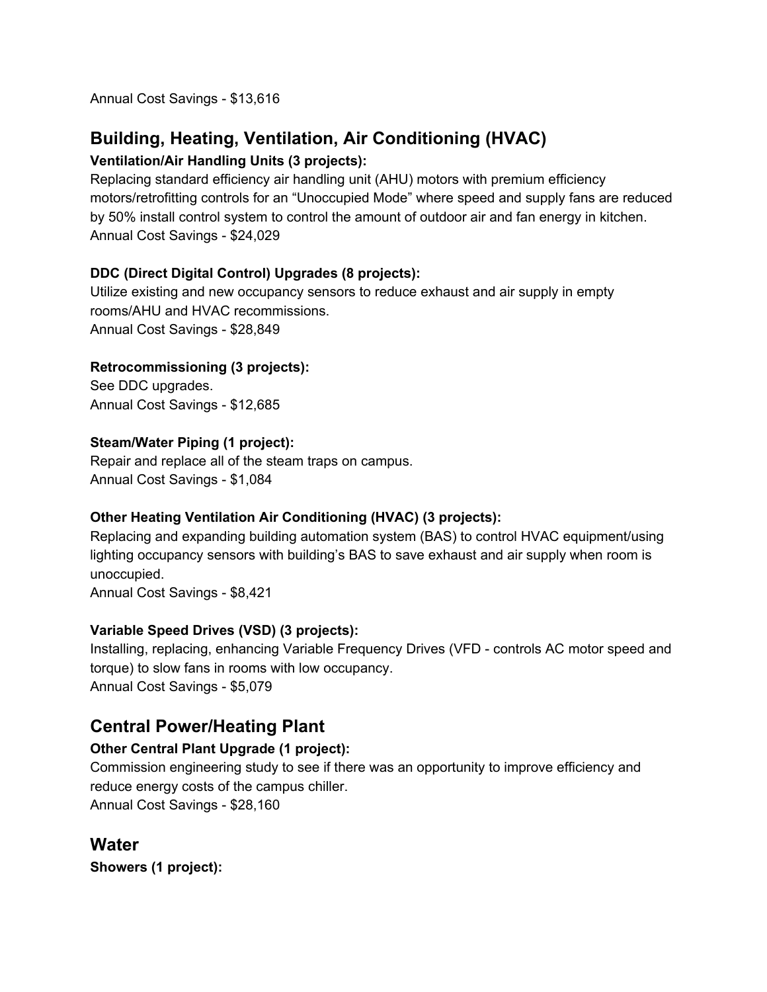Annual Cost Savings - \$13,616

### **Building, Heating, Ventilation, Air Conditioning (HVAC)**

#### **Ventilation/Air Handling Units (3 projects):**

Replacing standard efficiency air handling unit (AHU) motors with premium efficiency motors/retrofitting controls for an "Unoccupied Mode" where speed and supply fans are reduced by 50% install control system to control the amount of outdoor air and fan energy in kitchen. Annual Cost Savings - \$24,029

#### **DDC (Direct Digital Control) Upgrades (8 projects):**

Utilize existing and new occupancy sensors to reduce exhaust and air supply in empty rooms/AHU and HVAC recommissions. Annual Cost Savings - \$28,849

#### **Retrocommissioning (3 projects):**

See DDC upgrades. Annual Cost Savings - \$12,685

#### **Steam/Water Piping (1 project):**

Repair and replace all of the steam traps on campus. Annual Cost Savings - \$1,084

#### **Other Heating Ventilation Air Conditioning (HVAC) (3 projects):**

Replacing and expanding building automation system (BAS) to control HVAC equipment/using lighting occupancy sensors with building's BAS to save exhaust and air supply when room is unoccupied.

Annual Cost Savings - \$8,421

#### **Variable Speed Drives (VSD) (3 projects):**

Installing, replacing, enhancing Variable Frequency Drives (VFD - controls AC motor speed and torque) to slow fans in rooms with low occupancy. Annual Cost Savings - \$5,079

### **Central Power/Heating Plant**

#### **Other Central Plant Upgrade (1 project):**

Commission engineering study to see if there was an opportunity to improve efficiency and reduce energy costs of the campus chiller. Annual Cost Savings - \$28,160

### **Water**

**Showers (1 project):**